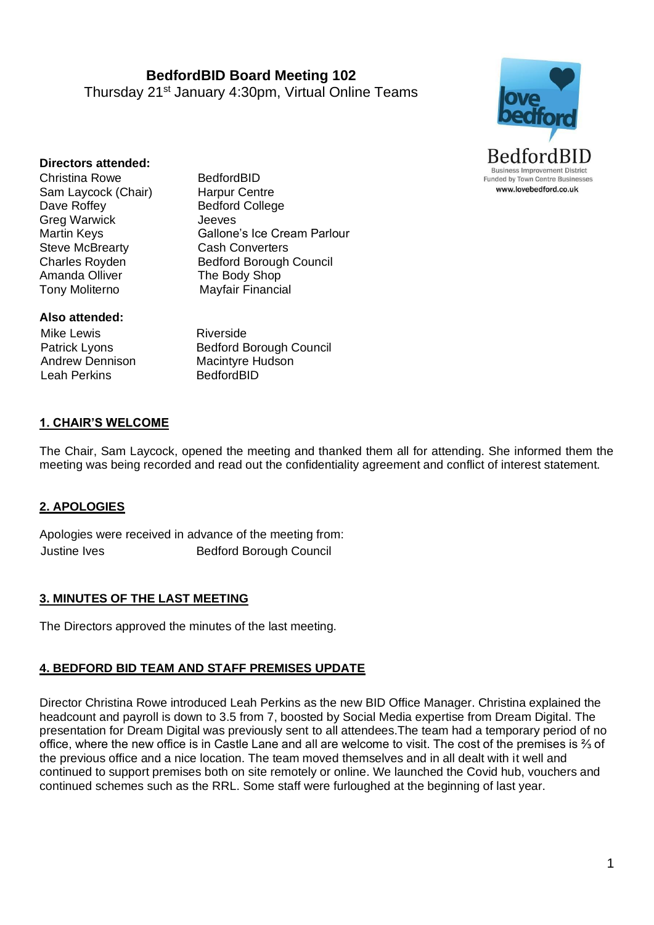**BedfordBID Board Meeting 102** Thursday 21st January 4:30pm, Virtual Online Teams



#### **Directors attended:**

Christina Rowe BedfordBID Sam Laycock (Chair) Harpur Centre Dave Roffey Bedford College Greg Warwick Jeeves Steve McBrearty **Cash Converters** Amanda Olliver The Body Shop Tony Moliterno Mayfair Financial

Martin Keys **Gallone's Ice Cream Parlour** Charles Royden Bedford Borough Council

### **Also attended:**

Mike Lewis Patrick Lyons Andrew Dennison Leah Perkins

Riverside Bedford Borough Council Macintyre Hudson BedfordBID

### **1. CHAIR'S WELCOME**

The Chair, Sam Laycock, opened the meeting and thanked them all for attending. She informed them the meeting was being recorded and read out the confidentiality agreement and conflict of interest statement.

### **2. APOLOGIES**

Apologies were received in advance of the meeting from: Justine Ives **Bedford Borough Council** 

### **3. MINUTES OF THE LAST MEETING**

The Directors approved the minutes of the last meeting.

#### **4. BEDFORD BID TEAM AND STAFF PREMISES UPDATE**

Director Christina Rowe introduced Leah Perkins as the new BID Office Manager. Christina explained the headcount and payroll is down to 3.5 from 7, boosted by Social Media expertise from Dream Digital. The presentation for Dream Digital was previously sent to all attendees.The team had a temporary period of no office, where the new office is in Castle Lane and all are welcome to visit. The cost of the premises is ⅔ of the previous office and a nice location. The team moved themselves and in all dealt with it well and continued to support premises both on site remotely or online. We launched the Covid hub, vouchers and continued schemes such as the RRL. Some staff were furloughed at the beginning of last year.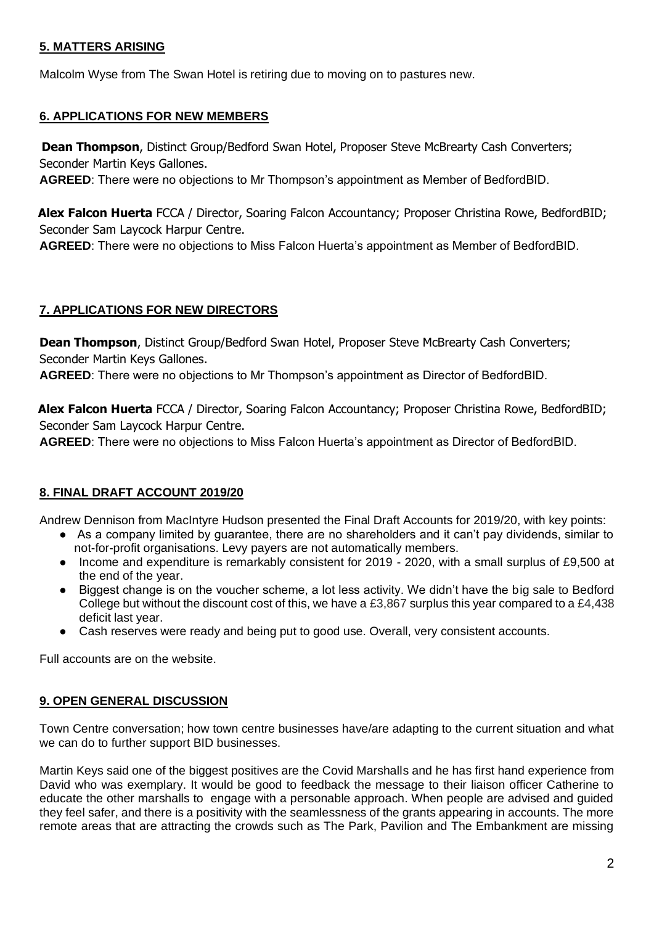# **5. MATTERS ARISING**

Malcolm Wyse from The Swan Hotel is retiring due to moving on to pastures new.

# **6. APPLICATIONS FOR NEW MEMBERS**

**Dean Thompson**, Distinct Group/Bedford Swan Hotel, Proposer Steve McBrearty Cash Converters; Seconder Martin Keys Gallones.

**AGREED**: There were no objections to Mr Thompson's appointment as Member of BedfordBID.

**Alex Falcon Huerta** FCCA / Director, Soaring Falcon Accountancy; Proposer Christina Rowe, BedfordBID; Seconder Sam Laycock Harpur Centre.

**AGREED**: There were no objections to Miss Falcon Huerta's appointment as Member of BedfordBID.

# **7. APPLICATIONS FOR NEW DIRECTORS**

**Dean Thompson**, Distinct Group/Bedford Swan Hotel, Proposer Steve McBrearty Cash Converters; Seconder Martin Keys Gallones.

**AGREED**: There were no objections to Mr Thompson's appointment as Director of BedfordBID.

**Alex Falcon Huerta** FCCA / Director, Soaring Falcon Accountancy; Proposer Christina Rowe, BedfordBID; Seconder Sam Laycock Harpur Centre.

**AGREED**: There were no objections to Miss Falcon Huerta's appointment as Director of BedfordBID.

# **8. FINAL DRAFT ACCOUNT 2019/20**

Andrew Dennison from MacIntyre Hudson presented the Final Draft Accounts for 2019/20, with key points:

- As a company limited by guarantee, there are no shareholders and it can't pay dividends, similar to not-for-profit organisations. Levy payers are not automatically members.
- Income and expenditure is remarkably consistent for 2019 2020, with a small surplus of £9,500 at the end of the year.
- Biggest change is on the voucher scheme, a lot less activity. We didn't have the big sale to Bedford College but without the discount cost of this, we have a £3,867 surplus this year compared to a £4,438 deficit last year.
- Cash reserves were ready and being put to good use. Overall, very consistent accounts.

Full accounts are on the website.

# **9. OPEN GENERAL DISCUSSION**

Town Centre conversation; how town centre businesses have/are adapting to the current situation and what we can do to further support BID businesses.

Martin Keys said one of the biggest positives are the Covid Marshalls and he has first hand experience from David who was exemplary. It would be good to feedback the message to their liaison officer Catherine to educate the other marshalls to engage with a personable approach. When people are advised and guided they feel safer, and there is a positivity with the seamlessness of the grants appearing in accounts. The more remote areas that are attracting the crowds such as The Park, Pavilion and The Embankment are missing